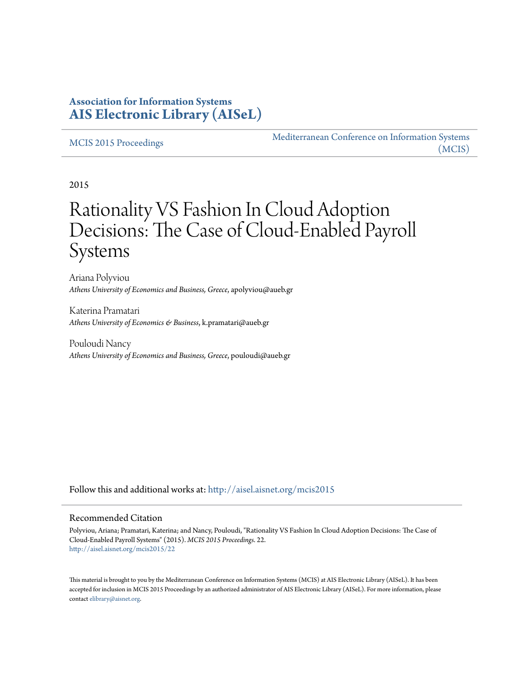## **Association for Information Systems [AIS Electronic Library \(AISeL\)](http://aisel.aisnet.org?utm_source=aisel.aisnet.org%2Fmcis2015%2F22&utm_medium=PDF&utm_campaign=PDFCoverPages)**

#### [MCIS 2015 Proceedings](http://aisel.aisnet.org/mcis2015?utm_source=aisel.aisnet.org%2Fmcis2015%2F22&utm_medium=PDF&utm_campaign=PDFCoverPages)

[Mediterranean Conference on Information Systems](http://aisel.aisnet.org/mcis?utm_source=aisel.aisnet.org%2Fmcis2015%2F22&utm_medium=PDF&utm_campaign=PDFCoverPages) [\(MCIS\)](http://aisel.aisnet.org/mcis?utm_source=aisel.aisnet.org%2Fmcis2015%2F22&utm_medium=PDF&utm_campaign=PDFCoverPages)

2015

# Rationality VS Fashion In Cloud Adoption Decisions: The Case of Cloud-Enabled Payroll Systems

Ariana Polyviou *Athens University of Economics and Business, Greece*, apolyviou@aueb.gr

Katerina Pramatari *Athens University of Economics & Business*, k.pramatari@aueb.gr

Pouloudi Nancy *Athens University of Economics and Business, Greece*, pouloudi@aueb.gr

Follow this and additional works at: [http://aisel.aisnet.org/mcis2015](http://aisel.aisnet.org/mcis2015?utm_source=aisel.aisnet.org%2Fmcis2015%2F22&utm_medium=PDF&utm_campaign=PDFCoverPages)

#### Recommended Citation

Polyviou, Ariana; Pramatari, Katerina; and Nancy, Pouloudi, "Rationality VS Fashion In Cloud Adoption Decisions: The Case of Cloud-Enabled Payroll Systems" (2015). *MCIS 2015 Proceedings*. 22. [http://aisel.aisnet.org/mcis2015/22](http://aisel.aisnet.org/mcis2015/22?utm_source=aisel.aisnet.org%2Fmcis2015%2F22&utm_medium=PDF&utm_campaign=PDFCoverPages)

This material is brought to you by the Mediterranean Conference on Information Systems (MCIS) at AIS Electronic Library (AISeL). It has been accepted for inclusion in MCIS 2015 Proceedings by an authorized administrator of AIS Electronic Library (AISeL). For more information, please contact [elibrary@aisnet.org.](mailto:elibrary@aisnet.org%3E)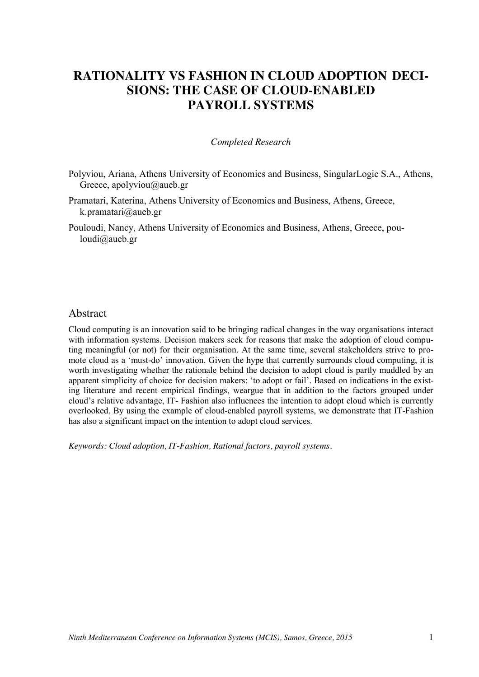## **RATIONALITY VS FASHION IN CLOUD ADOPTION DECI-SIONS: THE CASE OF CLOUD-ENABLED PAYROLL SYSTEMS**

#### *Completed Research*

- Polyviou, Ariana, Athens University of Economics and Business, SingularLogic S.A., Athens, Greece, apolyviou@aueb.gr
- Pramatari, Katerina, Athens University of Economics and Business, Athens, Greece, k.pramatari@aueb.gr
- Pouloudi, Nancy, Athens University of Economics and Business, Athens, Greece, pouloudi@aueb.gr

### Abstract

Cloud computing is an innovation said to be bringing radical changes in the way organisations interact with information systems. Decision makers seek for reasons that make the adoption of cloud computing meaningful (or not) for their organisation. At the same time, several stakeholders strive to promote cloud as a 'must-do' innovation. Given the hype that currently surrounds cloud computing, it is worth investigating whether the rationale behind the decision to adopt cloud is partly muddled by an apparent simplicity of choice for decision makers: 'to adopt or fail'. Based on indications in the existing literature and recent empirical findings, weargue that in addition to the factors grouped under cloud's relative advantage, IT- Fashion also influences the intention to adopt cloud which is currently overlooked. By using the example of cloud-enabled payroll systems, we demonstrate that IT-Fashion has also a significant impact on the intention to adopt cloud services.

*Keywords: Cloud adoption, IT-Fashion, Rational factors, payroll systems.*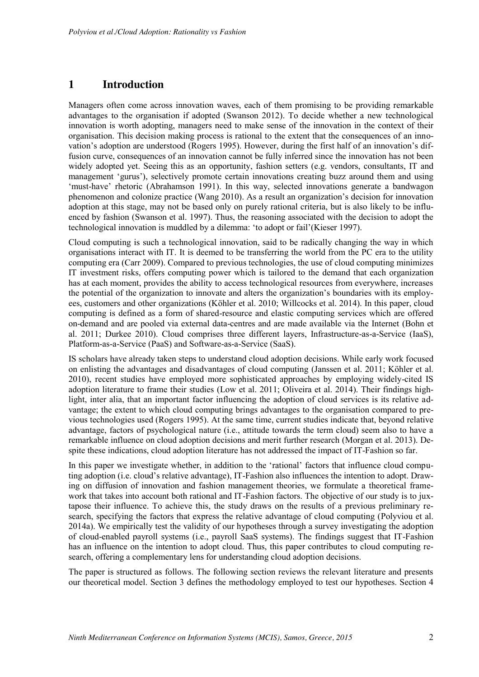## **1 Introduction**

Managers often come across innovation waves, each of them promising to be providing remarkable advantages to the organisation if adopted (Swanson 2012). To decide whether a new technological innovation is worth adopting, managers need to make sense of the innovation in the context of their organisation. This decision making process is rational to the extent that the consequences of an innovation's adoption are understood (Rogers 1995). However, during the first half of an innovation's diffusion curve, consequences of an innovation cannot be fully inferred since the innovation has not been widely adopted yet. Seeing this as an opportunity, fashion setters (e.g. vendors, consultants, IT and management 'gurus'), selectively promote certain innovations creating buzz around them and using 'must-have' rhetoric (Abrahamson 1991). In this way, selected innovations generate a bandwagon phenomenon and colonize practice (Wang 2010). As a result an organization's decision for innovation adoption at this stage, may not be based only on purely rational criteria, but is also likely to be influenced by fashion (Swanson et al. 1997). Thus, the reasoning associated with the decision to adopt the technological innovation is muddled by a dilemma: 'to adopt or fail'(Kieser 1997).

Cloud computing is such a technological innovation, said to be radically changing the way in which organisations interact with IT. It is deemed to be transferring the world from the PC era to the utility computing era (Carr 2009). Compared to previous technologies, the use of cloud computing minimizes IT investment risks, offers computing power which is tailored to the demand that each organization has at each moment, provides the ability to access technological resources from everywhere, increases the potential of the organization to innovate and alters the organization's boundaries with its employees, customers and other organizations (Köhler et al. 2010; Willcocks et al. 2014). In this paper, cloud computing is defined as a form of shared-resource and elastic computing services which are offered on-demand and are pooled via external data-centres and are made available via the Internet (Bohn et al. 2011; Durkee 2010). Cloud comprises three different layers, Infrastructure-as-a-Service (IaaS), Platform-as-a-Service (PaaS) and Software-as-a-Service (SaaS).

IS scholars have already taken steps to understand cloud adoption decisions. While early work focused on enlisting the advantages and disadvantages of cloud computing (Janssen et al. 2011; Köhler et al. 2010), recent studies have employed more sophisticated approaches by employing widely-cited IS adoption literature to frame their studies (Low et al. 2011; Oliveira et al. 2014). Their findings highlight, inter alia, that an important factor influencing the adoption of cloud services is its relative advantage; the extent to which cloud computing brings advantages to the organisation compared to previous technologies used (Rogers 1995). At the same time, current studies indicate that, beyond relative advantage, factors of psychological nature (i.e., attitude towards the term cloud) seem also to have a remarkable influence on cloud adoption decisions and merit further research (Morgan et al. 2013). Despite these indications, cloud adoption literature has not addressed the impact of IT-Fashion so far.

In this paper we investigate whether, in addition to the 'rational' factors that influence cloud computing adoption (i.e. cloud's relative advantage), IT-Fashion also influences the intention to adopt. Drawing on diffusion of innovation and fashion management theories, we formulate a theoretical framework that takes into account both rational and IT-Fashion factors. The objective of our study is to juxtapose their influence. To achieve this, the study draws on the results of a previous preliminary research, specifying the factors that express the relative advantage of cloud computing (Polyviou et al. 2014a). We empirically test the validity of our hypotheses through a survey investigating the adoption of cloud-enabled payroll systems (i.e., payroll SaaS systems). The findings suggest that IT-Fashion has an influence on the intention to adopt cloud. Thus, this paper contributes to cloud computing research, offering a complementary lens for understanding cloud adoption decisions.

The paper is structured as follows. The following section reviews the relevant literature and presents our theoretical model. Section 3 defines the methodology employed to test our hypotheses. Section 4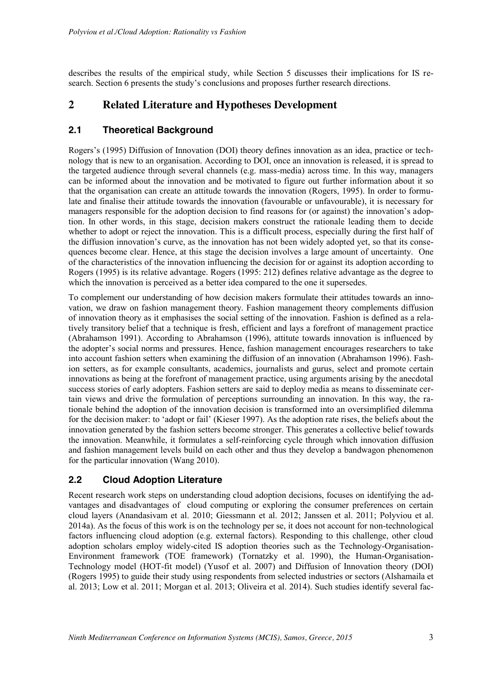describes the results of the empirical study, while Section 5 discusses their implications for IS research. Section 6 presents the study's conclusions and proposes further research directions.

## **2 Related Literature and Hypotheses Development**

## **2.1 Theoretical Background**

Rogers's (1995) Diffusion of Innovation (DOI) theory defines innovation as an idea, practice or technology that is new to an organisation. According to DOI, once an innovation is released, it is spread to the targeted audience through several channels (e.g. mass-media) across time. In this way, managers can be informed about the innovation and be motivated to figure out further information about it so that the organisation can create an attitude towards the innovation (Rogers, 1995). In order to formulate and finalise their attitude towards the innovation (favourable or unfavourable), it is necessary for managers responsible for the adoption decision to find reasons for (or against) the innovation's adoption. In other words, in this stage, decision makers construct the rationale leading them to decide whether to adopt or reject the innovation. This is a difficult process, especially during the first half of the diffusion innovation's curve, as the innovation has not been widely adopted yet, so that its consequences become clear. Hence, at this stage the decision involves a large amount of uncertainty. One of the characteristics of the innovation influencing the decision for or against its adoption according to Rogers (1995) is its relative advantage. Rogers (1995: 212) defines relative advantage as the degree to which the innovation is perceived as a better idea compared to the one it supersedes.

To complement our understanding of how decision makers formulate their attitudes towards an innovation, we draw on fashion management theory. Fashion management theory complements diffusion of innovation theory as it emphasises the social setting of the innovation. Fashion is defined as a relatively transitory belief that a technique is fresh, efficient and lays a forefront of management practice (Abrahamson 1991). According to Abrahamson (1996), attitute towards innovation is influenced by the adopter's social norms and pressures. Hence, fashion management encourages researchers to take into account fashion setters when examining the diffusion of an innovation (Abrahamson 1996). Fashion setters, as for example consultants, academics, journalists and gurus, select and promote certain innovations as being at the forefront of management practice, using arguments arising by the anecdotal success stories of early adopters. Fashion setters are said to deploy media as means to disseminate certain views and drive the formulation of perceptions surrounding an innovation. In this way, the rationale behind the adoption of the innovation decision is transformed into an oversimplified dilemma for the decision maker: to 'adopt or fail' (Kieser 1997). As the adoption rate rises, the beliefs about the innovation generated by the fashion setters become stronger. This generates a collective belief towards the innovation. Meanwhile, it formulates a self-reinforcing cycle through which innovation diffusion and fashion management levels build on each other and thus they develop a bandwagon phenomenon for the particular innovation (Wang 2010).

## **2.2 Cloud Adoption Literature**

Recent research work steps on understanding cloud adoption decisions, focuses on identifying the advantages and disadvantages of cloud computing or exploring the consumer preferences on certain cloud layers (Anandasivam et al. 2010; Giessmann et al. 2012; Janssen et al. 2011; Polyviou et al. 2014a). As the focus of this work is on the technology per se, it does not account for non-technological factors influencing cloud adoption (e.g. external factors). Responding to this challenge, other cloud adoption scholars employ widely-cited IS adoption theories such as the Technology-Organisation-Environment framework (TOE framework) (Tornatzky et al. 1990), the Human-Organisation-Technology model (HOT-fit model) (Yusof et al. 2007) and Diffusion of Innovation theory (DOI) (Rogers 1995) to guide their study using respondents from selected industries or sectors (Alshamaila et al. 2013; Low et al. 2011; Morgan et al. 2013; Oliveira et al. 2014). Such studies identify several fac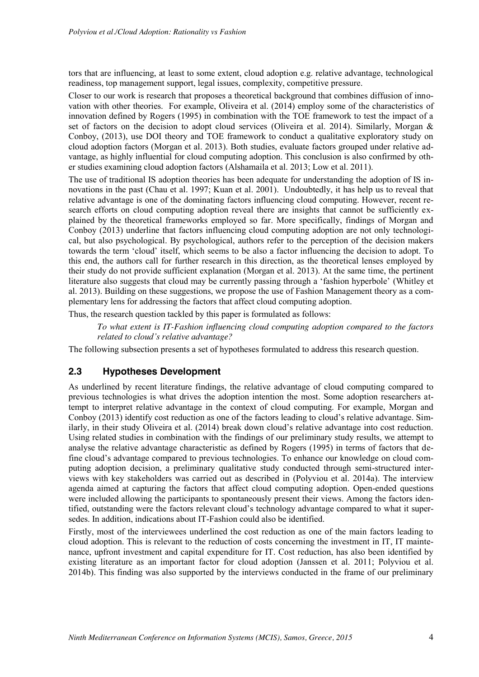tors that are influencing, at least to some extent, cloud adoption e.g. relative advantage, technological readiness, top management support, legal issues, complexity, competitive pressure.

Closer to our work is research that proposes a theoretical background that combines diffusion of innovation with other theories. For example, Oliveira et al. (2014) employ some of the characteristics of innovation defined by Rogers (1995) in combination with the TOE framework to test the impact of a set of factors on the decision to adopt cloud services (Oliveira et al. 2014). Similarly, Morgan  $\&$ Conboy, (2013), use DOI theory and TOE framework to conduct a qualitative exploratory study on cloud adoption factors (Morgan et al. 2013). Both studies, evaluate factors grouped under relative advantage, as highly influential for cloud computing adoption. This conclusion is also confirmed by other studies examining cloud adoption factors (Alshamaila et al. 2013; Low et al. 2011).

The use of traditional IS adoption theories has been adequate for understanding the adoption of IS innovations in the past (Chau et al. 1997; Kuan et al. 2001). Undoubtedly, it has help us to reveal that relative advantage is one of the dominating factors influencing cloud computing. However, recent research efforts on cloud computing adoption reveal there are insights that cannot be sufficiently explained by the theoretical frameworks employed so far. More specifically, findings of Morgan and Conboy (2013) underline that factors influencing cloud computing adoption are not only technological, but also psychological. By psychological, authors refer to the perception of the decision makers towards the term 'cloud' itself, which seems to be also a factor influencing the decision to adopt. To this end, the authors call for further research in this direction, as the theoretical lenses employed by their study do not provide sufficient explanation (Morgan et al. 2013). At the same time, the pertinent literature also suggests that cloud may be currently passing through a 'fashion hyperbole' (Whitley et al. 2013). Building on these suggestions, we propose the use of Fashion Management theory as a complementary lens for addressing the factors that affect cloud computing adoption.

Thus, the research question tackled by this paper is formulated as follows:

*To what extent is IT-Fashion influencing cloud computing adoption compared to the factors related to cloud's relative advantage?* 

The following subsection presents a set of hypotheses formulated to address this research question.

#### **2.3 Hypotheses Development**

As underlined by recent literature findings, the relative advantage of cloud computing compared to previous technologies is what drives the adoption intention the most. Some adoption researchers attempt to interpret relative advantage in the context of cloud computing. For example, Morgan and Conboy (2013) identify cost reduction as one of the factors leading to cloud's relative advantage. Similarly, in their study Oliveira et al. (2014) break down cloud's relative advantage into cost reduction. Using related studies in combination with the findings of our preliminary study results, we attempt to analyse the relative advantage characteristic as defined by Rogers (1995) in terms of factors that define cloud's advantage compared to previous technologies. To enhance our knowledge on cloud computing adoption decision, a preliminary qualitative study conducted through semi-structured interviews with key stakeholders was carried out as described in (Polyviou et al. 2014a). The interview agenda aimed at capturing the factors that affect cloud computing adoption. Open-ended questions were included allowing the participants to spontaneously present their views. Among the factors identified, outstanding were the factors relevant cloud's technology advantage compared to what it supersedes. In addition, indications about IT-Fashion could also be identified.

Firstly, most of the interviewees underlined the cost reduction as one of the main factors leading to cloud adoption. This is relevant to the reduction of costs concerning the investment in IT, IT maintenance, upfront investment and capital expenditure for IT. Cost reduction, has also been identified by existing literature as an important factor for cloud adoption (Janssen et al. 2011; Polyviou et al. 2014b). This finding was also supported by the interviews conducted in the frame of our preliminary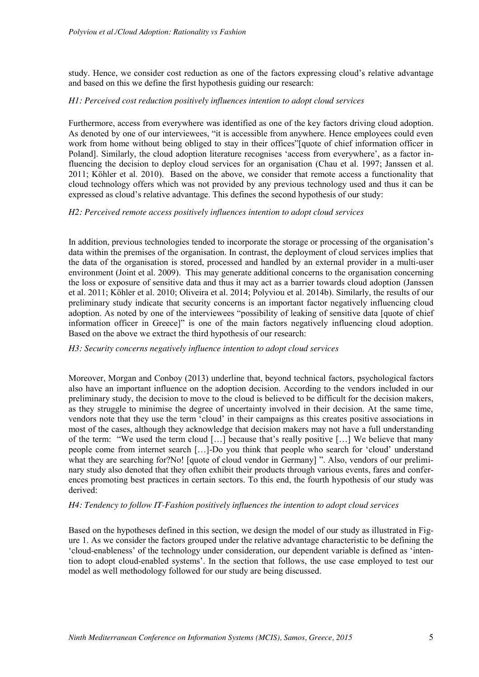study. Hence, we consider cost reduction as one of the factors expressing cloud's relative advantage and based on this we define the first hypothesis guiding our research:

#### *H1: Perceived cost reduction positively influences intention to adopt cloud services*

Furthermore, access from everywhere was identified as one of the key factors driving cloud adoption. As denoted by one of our interviewees, "it is accessible from anywhere. Hence employees could even work from home without being obliged to stay in their offices"[quote of chief information officer in Poland]. Similarly, the cloud adoption literature recognises 'access from everywhere', as a factor influencing the decision to deploy cloud services for an organisation (Chau et al. 1997; Janssen et al. 2011; Köhler et al. 2010). Based on the above, we consider that remote access a functionality that cloud technology offers which was not provided by any previous technology used and thus it can be expressed as cloud's relative advantage. This defines the second hypothesis of our study:

#### *H2: Perceived remote access positively influences intention to adopt cloud services*

In addition, previous technologies tended to incorporate the storage or processing of the organisation's data within the premises of the organisation. In contrast, the deployment of cloud services implies that the data of the organisation is stored, processed and handled by an external provider in a multi-user environment (Joint et al. 2009). This may generate additional concerns to the organisation concerning the loss or exposure of sensitive data and thus it may act as a barrier towards cloud adoption (Janssen et al. 2011; Köhler et al. 2010; Oliveira et al. 2014; Polyviou et al. 2014b). Similarly, the results of our preliminary study indicate that security concerns is an important factor negatively influencing cloud adoption. As noted by one of the interviewees "possibility of leaking of sensitive data [quote of chief information officer in Greece]" is one of the main factors negatively influencing cloud adoption. Based on the above we extract the third hypothesis of our research:

#### *H3: Security concerns negatively influence intention to adopt cloud services*

Moreover, Morgan and Conboy (2013) underline that, beyond technical factors, psychological factors also have an important influence on the adoption decision. According to the vendors included in our preliminary study, the decision to move to the cloud is believed to be difficult for the decision makers, as they struggle to minimise the degree of uncertainty involved in their decision. At the same time, vendors note that they use the term 'cloud' in their campaigns as this creates positive associations in most of the cases, although they acknowledge that decision makers may not have a full understanding of the term: "We used the term cloud […] because that's really positive […] We believe that many people come from internet search […]-Do you think that people who search for 'cloud' understand what they are searching for?No! [quote of cloud vendor in Germany] ". Also, vendors of our preliminary study also denoted that they often exhibit their products through various events, fares and conferences promoting best practices in certain sectors. To this end, the fourth hypothesis of our study was derived:

#### *H4: Tendency to follow IT-Fashion positively influences the intention to adopt cloud services*

Based on the hypotheses defined in this section, we design the model of our study as illustrated in Figure 1. As we consider the factors grouped under the relative advantage characteristic to be defining the 'cloud-enableness' of the technology under consideration, our dependent variable is defined as 'intention to adopt cloud-enabled systems'. In the section that follows, the use case employed to test our model as well methodology followed for our study are being discussed.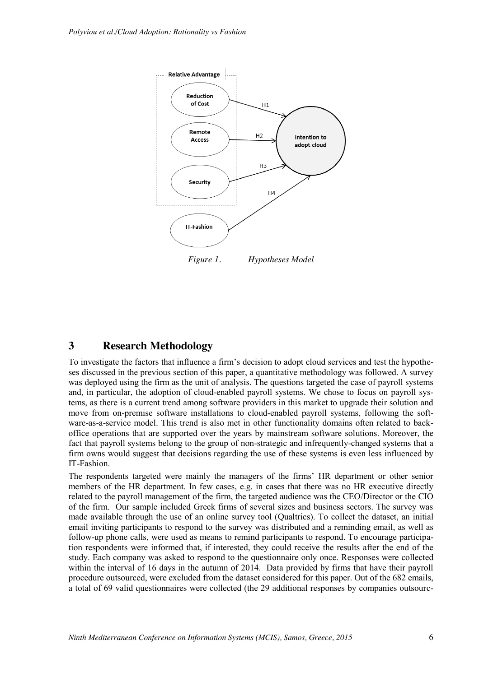

## **3 Research Methodology**

To investigate the factors that influence a firm's decision to adopt cloud services and test the hypotheses discussed in the previous section of this paper, a quantitative methodology was followed. A survey was deployed using the firm as the unit of analysis. The questions targeted the case of payroll systems and, in particular, the adoption of cloud-enabled payroll systems. We chose to focus on payroll systems, as there is a current trend among software providers in this market to upgrade their solution and move from on-premise software installations to cloud-enabled payroll systems, following the software-as-a-service model. This trend is also met in other functionality domains often related to backoffice operations that are supported over the years by mainstream software solutions. Moreover, the fact that payroll systems belong to the group of non-strategic and infrequently-changed systems that a firm owns would suggest that decisions regarding the use of these systems is even less influenced by IT-Fashion.

The respondents targeted were mainly the managers of the firms' HR department or other senior members of the HR department. In few cases, e.g. in cases that there was no HR executive directly related to the payroll management of the firm, the targeted audience was the CEO/Director or the CIO of the firm. Our sample included Greek firms of several sizes and business sectors. The survey was made available through the use of an online survey tool (Qualtrics). To collect the dataset, an initial email inviting participants to respond to the survey was distributed and a reminding email, as well as follow-up phone calls, were used as means to remind participants to respond. To encourage participation respondents were informed that, if interested, they could receive the results after the end of the study. Each company was asked to respond to the questionnaire only once. Responses were collected within the interval of 16 days in the autumn of 2014. Data provided by firms that have their payroll procedure outsourced, were excluded from the dataset considered for this paper. Out of the 682 emails, a total of 69 valid questionnaires were collected (the 29 additional responses by companies outsourc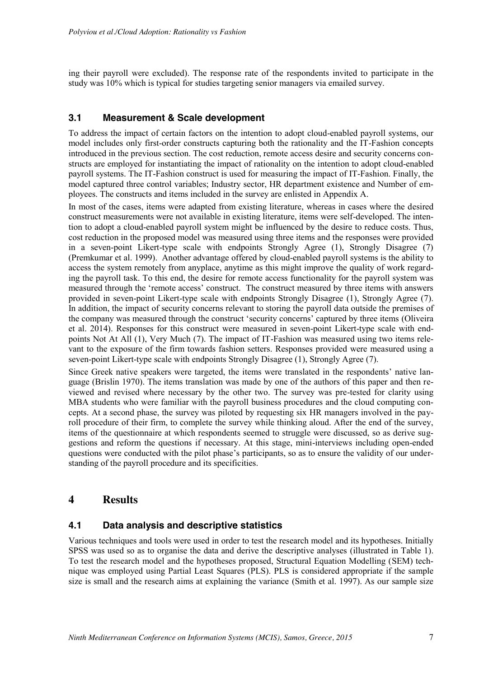ing their payroll were excluded). The response rate of the respondents invited to participate in the study was 10% which is typical for studies targeting senior managers via emailed survey.

## **3.1 Measurement & Scale development**

To address the impact of certain factors on the intention to adopt cloud-enabled payroll systems, our model includes only first-order constructs capturing both the rationality and the IT-Fashion concepts introduced in the previous section. The cost reduction, remote access desire and security concerns constructs are employed for instantiating the impact of rationality on the intention to adopt cloud-enabled payroll systems. The IT-Fashion construct is used for measuring the impact of IT-Fashion. Finally, the model captured three control variables; Industry sector, HR department existence and Number of employees. The constructs and items included in the survey are enlisted in Appendix A.

In most of the cases, items were adapted from existing literature, whereas in cases where the desired construct measurements were not available in existing literature, items were self-developed. The intention to adopt a cloud-enabled payroll system might be influenced by the desire to reduce costs. Thus, cost reduction in the proposed model was measured using three items and the responses were provided in a seven-point Likert-type scale with endpoints Strongly Agree (1), Strongly Disagree (7) (Premkumar et al. 1999). Another advantage offered by cloud-enabled payroll systems is the ability to access the system remotely from anyplace, anytime as this might improve the quality of work regarding the payroll task. To this end, the desire for remote access functionality for the payroll system was measured through the 'remote access' construct. The construct measured by three items with answers provided in seven-point Likert-type scale with endpoints Strongly Disagree (1), Strongly Agree (7). In addition, the impact of security concerns relevant to storing the payroll data outside the premises of the company was measured through the construct 'security concerns' captured by three items (Oliveira et al. 2014). Responses for this construct were measured in seven-point Likert-type scale with endpoints Not At All (1), Very Much (7). The impact of IT-Fashion was measured using two items relevant to the exposure of the firm towards fashion setters. Responses provided were measured using a seven-point Likert-type scale with endpoints Strongly Disagree (1), Strongly Agree (7).

Since Greek native speakers were targeted, the items were translated in the respondents' native language (Brislin 1970). The items translation was made by one of the authors of this paper and then reviewed and revised where necessary by the other two. The survey was pre-tested for clarity using MBA students who were familiar with the payroll business procedures and the cloud computing concepts. At a second phase, the survey was piloted by requesting six HR managers involved in the payroll procedure of their firm, to complete the survey while thinking aloud. After the end of the survey, items of the questionnaire at which respondents seemed to struggle were discussed, so as derive suggestions and reform the questions if necessary. At this stage, mini-interviews including open-ended questions were conducted with the pilot phase's participants, so as to ensure the validity of our understanding of the payroll procedure and its specificities.

## **4 Results**

## **4.1 Data analysis and descriptive statistics**

Various techniques and tools were used in order to test the research model and its hypotheses. Initially SPSS was used so as to organise the data and derive the descriptive analyses (illustrated in Table 1). To test the research model and the hypotheses proposed, Structural Equation Modelling (SEM) technique was employed using Partial Least Squares (PLS). PLS is considered appropriate if the sample size is small and the research aims at explaining the variance (Smith et al. 1997). As our sample size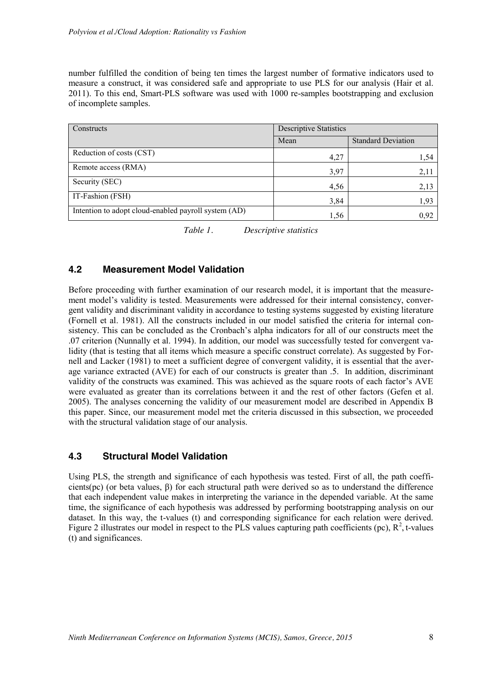number fulfilled the condition of being ten times the largest number of formative indicators used to measure a construct, it was considered safe and appropriate to use PLS for our analysis (Hair et al. 2011). To this end, Smart-PLS software was used with 1000 re-samples bootstrapping and exclusion of incomplete samples.

| Constructs                                           | <b>Descriptive Statistics</b> |                           |  |
|------------------------------------------------------|-------------------------------|---------------------------|--|
|                                                      | Mean                          | <b>Standard Deviation</b> |  |
| Reduction of costs (CST)                             | 4,27                          | 1,54                      |  |
| Remote access (RMA)                                  | 3,97                          | 2,11                      |  |
| Security (SEC)                                       | 4,56                          | 2,13                      |  |
| IT-Fashion (FSH)                                     | 3,84                          | 1.93                      |  |
| Intention to adopt cloud-enabled payroll system (AD) | 1,56                          | 0,92                      |  |

*Table 1. Descriptive statistics*

## **4.2 Measurement Model Validation**

Before proceeding with further examination of our research model, it is important that the measurement model's validity is tested. Measurements were addressed for their internal consistency, convergent validity and discriminant validity in accordance to testing systems suggested by existing literature (Fornell et al. 1981). All the constructs included in our model satisfied the criteria for internal consistency. This can be concluded as the Cronbach's alpha indicators for all of our constructs meet the .07 criterion (Nunnally et al. 1994). In addition, our model was successfully tested for convergent validity (that is testing that all items which measure a specific construct correlate). As suggested by Fornell and Lacker (1981) to meet a sufficient degree of convergent validity, it is essential that the average variance extracted (AVE) for each of our constructs is greater than .5. In addition, discriminant validity of the constructs was examined. This was achieved as the square roots of each factor's AVE were evaluated as greater than its correlations between it and the rest of other factors (Gefen et al. 2005). The analyses concerning the validity of our measurement model are described in Appendix B this paper. Since, our measurement model met the criteria discussed in this subsection, we proceeded with the structural validation stage of our analysis.

## **4.3 Structural Model Validation**

Using PLS, the strength and significance of each hypothesis was tested. First of all, the path coefficients(pc) (or beta values, β) for each structural path were derived so as to understand the difference that each independent value makes in interpreting the variance in the depended variable. At the same time, the significance of each hypothesis was addressed by performing bootstrapping analysis on our dataset. In this way, the t-values (t) and corresponding significance for each relation were derived. Figure 2 illustrates our model in respect to the PLS values capturing path coefficients (pc),  $\mathbb{R}^2$ , t-values (t) and significances.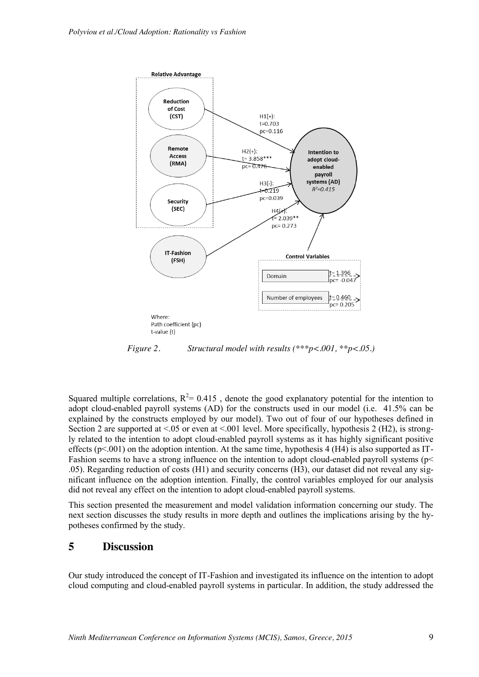

*Figure 2. Structural model with results (\*\*\*p<.001, \*\*p<.05.)*

Squared multiple correlations,  $R^2 = 0.415$ , denote the good explanatory potential for the intention to adopt cloud-enabled payroll systems (AD) for the constructs used in our model (i.e. 41.5% can be explained by the constructs employed by our model). Two out of four of our hypotheses defined in Section 2 are supported at  $\leq 0.05$  or even at  $\leq 0.01$  level. More specifically, hypothesis 2 (H2), is strongly related to the intention to adopt cloud-enabled payroll systems as it has highly significant positive effects ( $p<0.01$ ) on the adoption intention. At the same time, hypothesis 4 (H4) is also supported as IT-Fashion seems to have a strong influence on the intention to adopt cloud-enabled payroll systems (p< .05). Regarding reduction of costs (H1) and security concerns (H3), our dataset did not reveal any significant influence on the adoption intention. Finally, the control variables employed for our analysis did not reveal any effect on the intention to adopt cloud-enabled payroll systems.

This section presented the measurement and model validation information concerning our study. The next section discusses the study results in more depth and outlines the implications arising by the hypotheses confirmed by the study.

## **5 Discussion**

Our study introduced the concept of IT-Fashion and investigated its influence on the intention to adopt cloud computing and cloud-enabled payroll systems in particular. In addition, the study addressed the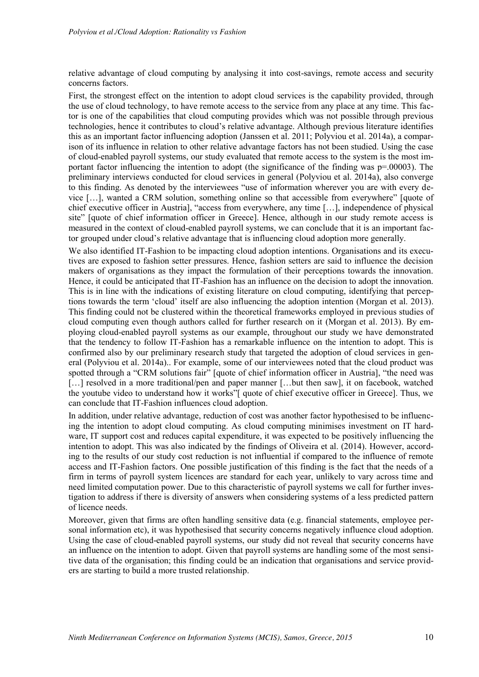relative advantage of cloud computing by analysing it into cost-savings, remote access and security concerns factors.

First, the strongest effect on the intention to adopt cloud services is the capability provided, through the use of cloud technology, to have remote access to the service from any place at any time. This factor is one of the capabilities that cloud computing provides which was not possible through previous technologies, hence it contributes to cloud's relative advantage. Although previous literature identifies this as an important factor influencing adoption (Janssen et al. 2011; Polyviou et al. 2014a), a comparison of its influence in relation to other relative advantage factors has not been studied. Using the case of cloud-enabled payroll systems, our study evaluated that remote access to the system is the most important factor influencing the intention to adopt (the significance of the finding was  $p=00003$ ). The preliminary interviews conducted for cloud services in general (Polyviou et al. 2014a), also converge to this finding. As denoted by the interviewees "use of information wherever you are with every device […], wanted a CRM solution, something online so that accessible from everywhere" [quote of chief executive officer in Austria], "access from everywhere, any time […], independence of physical site" [quote of chief information officer in Greece]. Hence, although in our study remote access is measured in the context of cloud-enabled payroll systems, we can conclude that it is an important factor grouped under cloud's relative advantage that is influencing cloud adoption more generally.

We also identified IT-Fashion to be impacting cloud adoption intentions. Organisations and its executives are exposed to fashion setter pressures. Hence, fashion setters are said to influence the decision makers of organisations as they impact the formulation of their perceptions towards the innovation. Hence, it could be anticipated that IT-Fashion has an influence on the decision to adopt the innovation. This is in line with the indications of existing literature on cloud computing, identifying that perceptions towards the term 'cloud' itself are also influencing the adoption intention (Morgan et al. 2013). This finding could not be clustered within the theoretical frameworks employed in previous studies of cloud computing even though authors called for further research on it (Morgan et al. 2013). By employing cloud-enabled payroll systems as our example, throughout our study we have demonstrated that the tendency to follow IT-Fashion has a remarkable influence on the intention to adopt. This is confirmed also by our preliminary research study that targeted the adoption of cloud services in general (Polyviou et al. 2014a).. For example, some of our interviewees noted that the cloud product was spotted through a "CRM solutions fair" [quote of chief information officer in Austria], "the need was [...] resolved in a more traditional/pen and paper manner [...but then saw], it on facebook, watched the youtube video to understand how it works"[ quote of chief executive officer in Greece]. Thus, we can conclude that IT-Fashion influences cloud adoption.

In addition, under relative advantage, reduction of cost was another factor hypothesised to be influencing the intention to adopt cloud computing. As cloud computing minimises investment on IT hardware, IT support cost and reduces capital expenditure, it was expected to be positively influencing the intention to adopt. This was also indicated by the findings of Oliveira et al. (2014). However, according to the results of our study cost reduction is not influential if compared to the influence of remote access and IT-Fashion factors. One possible justification of this finding is the fact that the needs of a firm in terms of payroll system licences are standard for each year, unlikely to vary across time and need limited computation power. Due to this characteristic of payroll systems we call for further investigation to address if there is diversity of answers when considering systems of a less predicted pattern of licence needs.

Moreover, given that firms are often handling sensitive data (e.g. financial statements, employee personal information etc), it was hypothesised that security concerns negatively influence cloud adoption. Using the case of cloud-enabled payroll systems, our study did not reveal that security concerns have an influence on the intention to adopt. Given that payroll systems are handling some of the most sensitive data of the organisation; this finding could be an indication that organisations and service providers are starting to build a more trusted relationship.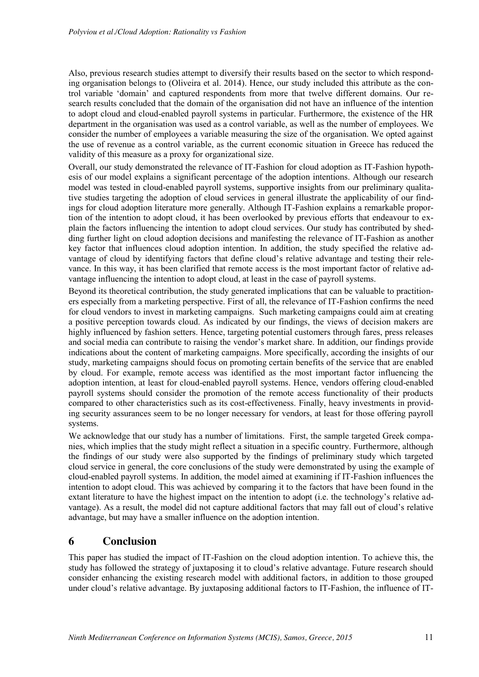Also, previous research studies attempt to diversify their results based on the sector to which responding organisation belongs to (Oliveira et al. 2014). Hence, our study included this attribute as the control variable 'domain' and captured respondents from more that twelve different domains. Our research results concluded that the domain of the organisation did not have an influence of the intention to adopt cloud and cloud-enabled payroll systems in particular. Furthermore, the existence of the HR department in the organisation was used as a control variable, as well as the number of employees. We consider the number of employees a variable measuring the size of the organisation. We opted against the use of revenue as a control variable, as the current economic situation in Greece has reduced the validity of this measure as a proxy for organizational size.

Overall, our study demonstrated the relevance of IT-Fashion for cloud adoption as IT-Fashion hypothesis of our model explains a significant percentage of the adoption intentions. Although our research model was tested in cloud-enabled payroll systems, supportive insights from our preliminary qualitative studies targeting the adoption of cloud services in general illustrate the applicability of our findings for cloud adoption literature more generally. Although IT-Fashion explains a remarkable proportion of the intention to adopt cloud, it has been overlooked by previous efforts that endeavour to explain the factors influencing the intention to adopt cloud services. Our study has contributed by shedding further light on cloud adoption decisions and manifesting the relevance of IT-Fashion as another key factor that influences cloud adoption intention. In addition, the study specified the relative advantage of cloud by identifying factors that define cloud's relative advantage and testing their relevance. In this way, it has been clarified that remote access is the most important factor of relative advantage influencing the intention to adopt cloud, at least in the case of payroll systems.

Beyond its theoretical contribution, the study generated implications that can be valuable to practitioners especially from a marketing perspective. First of all, the relevance of IT-Fashion confirms the need for cloud vendors to invest in marketing campaigns. Such marketing campaigns could aim at creating a positive perception towards cloud. As indicated by our findings, the views of decision makers are highly influenced by fashion setters. Hence, targeting potential customers through fares, press releases and social media can contribute to raising the vendor's market share. In addition, our findings provide indications about the content of marketing campaigns. More specifically, according the insights of our study, marketing campaigns should focus on promoting certain benefits of the service that are enabled by cloud. For example, remote access was identified as the most important factor influencing the adoption intention, at least for cloud-enabled payroll systems. Hence, vendors offering cloud-enabled payroll systems should consider the promotion of the remote access functionality of their products compared to other characteristics such as its cost-effectiveness. Finally, heavy investments in providing security assurances seem to be no longer necessary for vendors, at least for those offering payroll systems.

We acknowledge that our study has a number of limitations. First, the sample targeted Greek companies, which implies that the study might reflect a situation in a specific country. Furthermore, although the findings of our study were also supported by the findings of preliminary study which targeted cloud service in general, the core conclusions of the study were demonstrated by using the example of cloud-enabled payroll systems. In addition, the model aimed at examining if IT-Fashion influences the intention to adopt cloud. This was achieved by comparing it to the factors that have been found in the extant literature to have the highest impact on the intention to adopt (i.e. the technology's relative advantage). As a result, the model did not capture additional factors that may fall out of cloud's relative advantage, but may have a smaller influence on the adoption intention.

## **6 Conclusion**

This paper has studied the impact of IT-Fashion on the cloud adoption intention. To achieve this, the study has followed the strategy of juxtaposing it to cloud's relative advantage. Future research should consider enhancing the existing research model with additional factors, in addition to those grouped under cloud's relative advantage. By juxtaposing additional factors to IT-Fashion, the influence of IT-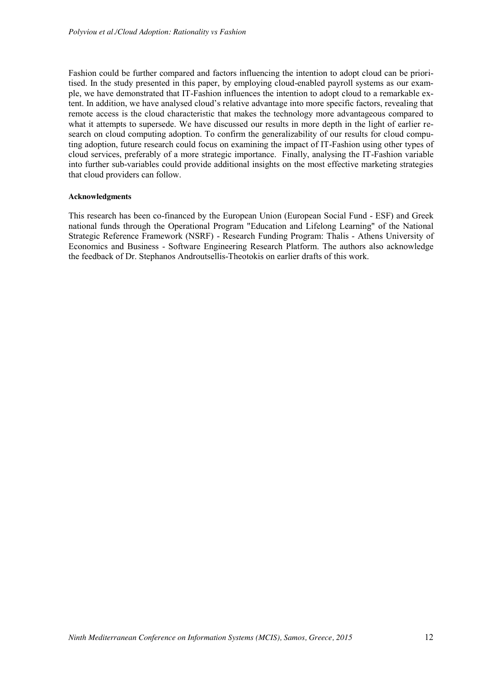Fashion could be further compared and factors influencing the intention to adopt cloud can be prioritised. In the study presented in this paper, by employing cloud-enabled payroll systems as our example, we have demonstrated that IT-Fashion influences the intention to adopt cloud to a remarkable extent. In addition, we have analysed cloud's relative advantage into more specific factors, revealing that remote access is the cloud characteristic that makes the technology more advantageous compared to what it attempts to supersede. We have discussed our results in more depth in the light of earlier research on cloud computing adoption. To confirm the generalizability of our results for cloud computing adoption, future research could focus on examining the impact of IT-Fashion using other types of cloud services, preferably of a more strategic importance. Finally, analysing the IT-Fashion variable into further sub-variables could provide additional insights on the most effective marketing strategies that cloud providers can follow.

#### **Acknowledgments**

This research has been co-financed by the European Union (European Social Fund - ESF) and Greek national funds through the Operational Program "Education and Lifelong Learning" of the National Strategic Reference Framework (NSRF) - Research Funding Program: Thalis - Athens University of Economics and Business - Software Engineering Research Platform. The authors also acknowledge the feedback of Dr. Stephanos Androutsellis-Theotokis on earlier drafts of this work.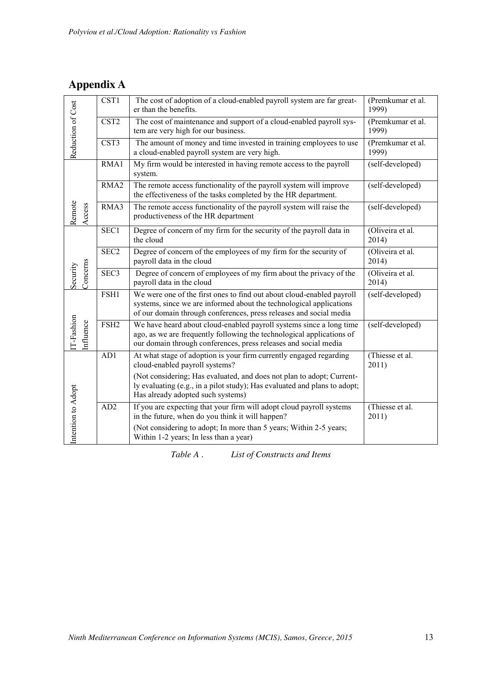## **Appendix A**

|                                       | CST <sub>1</sub>                                                                                                               | (Premkumar et al.<br>1999)                                                                                                                                                                                         |                            |
|---------------------------------------|--------------------------------------------------------------------------------------------------------------------------------|--------------------------------------------------------------------------------------------------------------------------------------------------------------------------------------------------------------------|----------------------------|
|                                       | CST <sub>2</sub><br>The cost of maintenance and support of a cloud-enabled payroll sys-<br>tem are very high for our business. |                                                                                                                                                                                                                    | (Premkumar et al.<br>1999) |
| Reduction of Cost<br>CST <sub>3</sub> |                                                                                                                                | The amount of money and time invested in training employees to use<br>a cloud-enabled payroll system are very high.                                                                                                | (Premkumar et al.<br>1999) |
|                                       | RMA1                                                                                                                           | My firm would be interested in having remote access to the payroll<br>system.                                                                                                                                      | (self-developed)           |
|                                       | RMA <sub>2</sub>                                                                                                               | The remote access functionality of the payroll system will improve<br>the effectiveness of the tasks completed by the HR department.                                                                               | (self-developed)           |
| Remote<br>Access                      | RMA3                                                                                                                           | The remote access functionality of the payroll system will raise the<br>productiveness of the HR department                                                                                                        | (self-developed)           |
|                                       | SEC1                                                                                                                           | Degree of concern of my firm for the security of the payroll data in<br>the cloud                                                                                                                                  | (Oliveira et al.<br>2014)  |
|                                       | SEC <sub>2</sub>                                                                                                               | Degree of concern of the employees of my firm for the security of<br>payroll data in the cloud                                                                                                                     | (Oliveira et al.<br>2014)  |
| Concerns<br>Security                  | SEC <sub>3</sub>                                                                                                               | Degree of concern of employees of my firm about the privacy of the<br>payroll data in the cloud                                                                                                                    | (Oliveira et al.<br>2014)  |
|                                       | FSH1                                                                                                                           | We were one of the first ones to find out about cloud-enabled payroll<br>systems, since we are informed about the technological applications<br>of our domain through conferences, press releases and social media | (self-developed)           |
| T-Fashion<br>influence                | FSH <sub>2</sub>                                                                                                               | We have heard about cloud-enabled payroll systems since a long time<br>ago, as we are frequently following the technological applications of<br>our domain through conferences, press releases and social media    | (self-developed)           |
|                                       | AD1                                                                                                                            | At what stage of adoption is your firm currently engaged regarding<br>cloud-enabled payroll systems?                                                                                                               | (Thiesse et al.<br>2011)   |
|                                       |                                                                                                                                | (Not considering; Has evaluated, and does not plan to adopt; Current-<br>ly evaluating (e.g., in a pilot study); Has evaluated and plans to adopt;<br>Has already adopted such systems)                            |                            |
| Intention to Adopt                    | AD2                                                                                                                            | If you are expecting that your firm will adopt cloud payroll systems<br>in the future, when do you think it will happen?<br>(Not considering to adopt; In more than 5 years; Within 2-5 years;                     | (Thiesse et al.<br>2011)   |
|                                       |                                                                                                                                | Within 1-2 years; In less than a year)                                                                                                                                                                             |                            |

*Table A . List of Constructs and Items*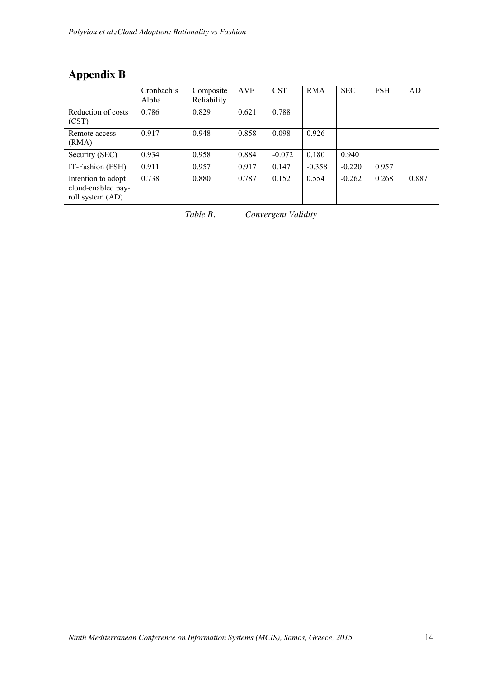## **Appendix B**

|                                                              | Cronbach's<br>Alpha | Composite<br>Reliability | <b>AVE</b> | <b>CST</b> | <b>RMA</b> | <b>SEC</b> | <b>FSH</b> | AD    |
|--------------------------------------------------------------|---------------------|--------------------------|------------|------------|------------|------------|------------|-------|
| Reduction of costs<br>(CST)                                  | 0.786               | 0.829                    | 0.621      | 0.788      |            |            |            |       |
| Remote access<br>(RMA)                                       | 0.917               | 0.948                    | 0.858      | 0.098      | 0.926      |            |            |       |
| Security (SEC)                                               | 0.934               | 0.958                    | 0.884      | $-0.072$   | 0.180      | 0.940      |            |       |
| IT-Fashion (FSH)                                             | 0.911               | 0.957                    | 0.917      | 0.147      | $-0.358$   | $-0.220$   | 0.957      |       |
| Intention to adopt<br>cloud-enabled pay-<br>roll system (AD) | 0.738               | 0.880                    | 0.787      | 0.152      | 0.554      | $-0.262$   | 0.268      | 0.887 |

| Table B. | Convergent Validity |  |
|----------|---------------------|--|
|          |                     |  |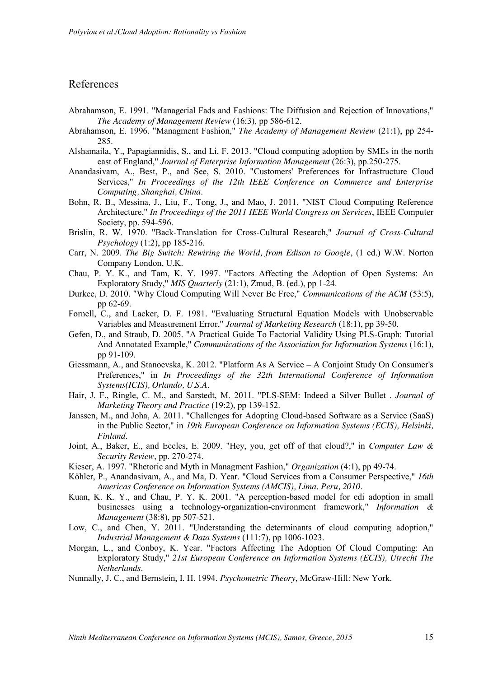## References

- Abrahamson, E. 1991. "Managerial Fads and Fashions: The Diffusion and Rejection of Innovations," *The Academy of Management Review* (16:3), pp 586-612.
- Abrahamson, E. 1996. "Managment Fashion," *The Academy of Management Review* (21:1), pp 254- 285.
- Alshamaila, Y., Papagiannidis, S., and Li, F. 2013. "Cloud computing adoption by SMEs in the north east of England," *Journal of Enterprise Information Management* (26:3), pp.250-275.
- Anandasivam, A., Best, P., and See, S. 2010. "Customers' Preferences for Infrastructure Cloud Services," *In Proceedings of the 12th IEEE Conference on Commerce and Enterprise Computing, Shanghai, China*.
- Bohn, R. B., Messina, J., Liu, F., Tong, J., and Mao, J. 2011. "NIST Cloud Computing Reference Architecture," *In Proceedings of the 2011 IEEE World Congress on Services*, IEEE Computer Society, pp. 594-596.
- Brislin, R. W. 1970. "Back-Translation for Cross-Cultural Research," *Journal of Cross-Cultural Psychology* (1:2), pp 185-216.
- Carr, N. 2009. *The Big Switch: Rewiring the World, from Edison to Google*, (1 ed.) W.W. Norton Company London, U.K.
- Chau, P. Y. K., and Tam, K. Y. 1997. "Factors Affecting the Adoption of Open Systems: An Exploratory Study," *MIS Quarterly* (21:1), Zmud, B. (ed.), pp 1-24.
- Durkee, D. 2010. "Why Cloud Computing Will Never Be Free," *Communications of the ACM* (53:5), pp 62-69.
- Fornell, C., and Lacker, D. F. 1981. "Evaluating Structural Equation Models with Unobservable Variables and Measurement Error," *Journal of Marketing Research* (18:1), pp 39-50.
- Gefen, D., and Straub, D. 2005. "A Practical Guide To Factorial Validity Using PLS-Graph: Tutorial And Annotated Example," *Communications of the Association for Information Systems* (16:1), pp 91-109.
- Giessmann, A., and Stanoevska, K. 2012. "Platform As A Service A Conjoint Study On Consumer's Preferences," in *In Proceedings of the 32th International Conference of Information Systems(ICIS), Orlando, U.S.A.*
- Hair, J. F., Ringle, C. M., and Sarstedt, M. 2011. "PLS-SEM: Indeed a Silver Bullet . *Journal of Marketing Theory and Practice* (19:2), pp 139-152.
- Janssen, M., and Joha, A. 2011. "Challenges for Adopting Cloud-based Software as a Service (SaaS) in the Public Sector," in *19th European Conference on Information Systems (ECIS), Helsinki, Finland*.
- Joint, A., Baker, E., and Eccles, E. 2009. "Hey, you, get off of that cloud?," in *Computer Law & Security Review*, pp. 270-274.
- Kieser, A. 1997. "Rhetoric and Myth in Managment Fashion," *Organization* (4:1), pp 49-74.
- Köhler, P., Anandasivam, A., and Ma, D. Year. "Cloud Services from a Consumer Perspective," *16th Americas Conference on Information Systems (AMCIS), Lima, Peru, 2010.*
- Kuan, K. K. Y., and Chau, P. Y. K. 2001. "A perception-based model for edi adoption in small businesses using a technology-organization-environment framework," *Information & Management* (38:8), pp 507-521.
- Low, C., and Chen, Y. 2011. "Understanding the determinants of cloud computing adoption," *Industrial Management & Data Systems* (111:7), pp 1006-1023.
- Morgan, L., and Conboy, K. Year. "Factors Affecting The Adoption Of Cloud Computing: An Exploratory Study," *21st European Conference on Information Systems (ECIS), Utrecht The Netherlands*.
- Nunnally, J. C., and Bernstein, I. H. 1994. *Psychometric Theory*, McGraw-Hill: New York.